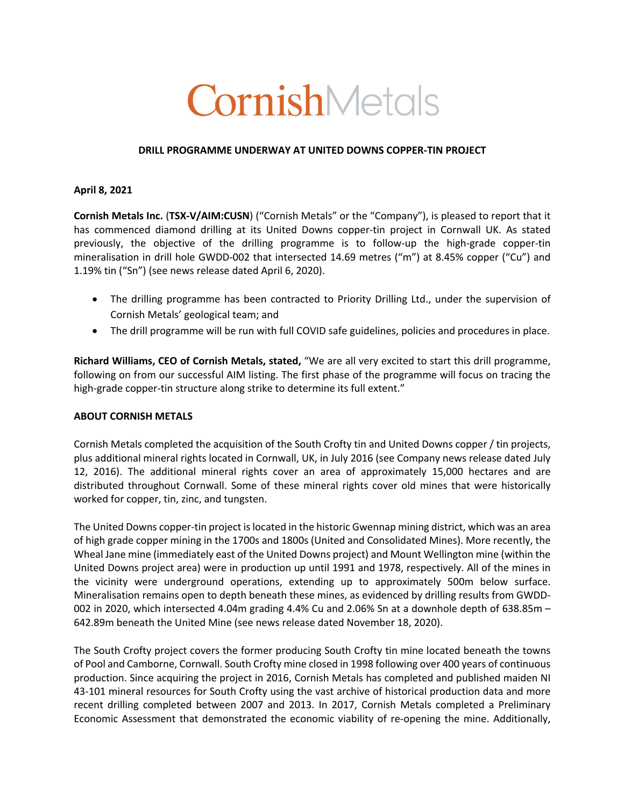# CornishMetals

## **DRILL PROGRAMME UNDERWAY AT UNITED DOWNS COPPER-TIN PROJECT**

## **April 8, 2021**

**Cornish Metals Inc.** (**TSX-V/AIM:CUSN**) ("Cornish Metals" or the "Company"), is pleased to report that it has commenced diamond drilling at its United Downs copper-tin project in Cornwall UK. As stated previously, the objective of the drilling programme is to follow-up the high-grade copper-tin mineralisation in drill hole GWDD-002 that intersected 14.69 metres ("m") at 8.45% copper ("Cu") and 1.19% tin ("Sn") (see news release dated April 6, 2020).

- The drilling programme has been contracted to Priority Drilling Ltd., under the supervision of Cornish Metals' geological team; and
- The drill programme will be run with full COVID safe guidelines, policies and procedures in place.

**Richard Williams, CEO of Cornish Metals, stated,** "We are all very excited to start this drill programme, following on from our successful AIM listing. The first phase of the programme will focus on tracing the high-grade copper-tin structure along strike to determine its full extent."

### **ABOUT CORNISH METALS**

Cornish Metals completed the acquisition of the South Crofty tin and United Downs copper / tin projects, plus additional mineral rights located in Cornwall, UK, in July 2016 (see Company news release dated July 12, 2016). The additional mineral rights cover an area of approximately 15,000 hectares and are distributed throughout Cornwall. Some of these mineral rights cover old mines that were historically worked for copper, tin, zinc, and tungsten.

The United Downs copper-tin project is located in the historic Gwennap mining district, which was an area of high grade copper mining in the 1700s and 1800s (United and Consolidated Mines). More recently, the Wheal Jane mine (immediately east of the United Downs project) and Mount Wellington mine (within the United Downs project area) were in production up until 1991 and 1978, respectively. All of the mines in the vicinity were underground operations, extending up to approximately 500m below surface. Mineralisation remains open to depth beneath these mines, as evidenced by drilling results from GWDD-002 in 2020, which intersected 4.04m grading 4.4% Cu and 2.06% Sn at a downhole depth of 638.85m – 642.89m beneath the United Mine (see news release dated November 18, 2020).

The South Crofty project covers the former producing South Crofty tin mine located beneath the towns of Pool and Camborne, Cornwall. South Crofty mine closed in 1998 following over 400 years of continuous production. Since acquiring the project in 2016, Cornish Metals has completed and published maiden NI 43-101 mineral resources for South Crofty using the vast archive of historical production data and more recent drilling completed between 2007 and 2013. In 2017, Cornish Metals completed a Preliminary Economic Assessment that demonstrated the economic viability of re-opening the mine. Additionally,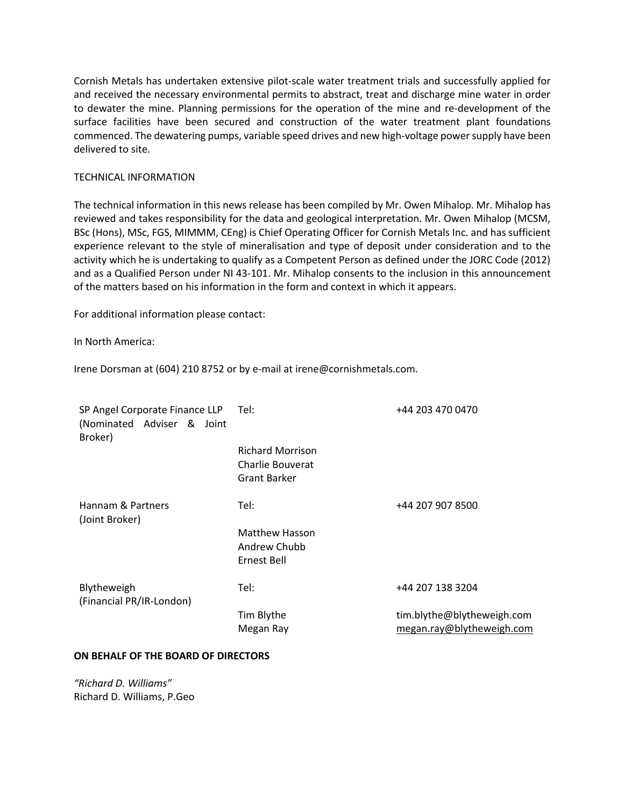Cornish Metals has undertaken extensive pilot-scale water treatment trials and successfully applied for and received the necessary environmental permits to abstract, treat and discharge mine water in order to dewater the mine. Planning permissions for the operation of the mine and re-development of the surface facilities have been secured and construction of the water treatment plant foundations commenced. The dewatering pumps, variable speed drives and new high-voltage power supply have been delivered to site.

## TECHNICAL INFORMATION

The technical information in this news release has been compiled by Mr. Owen Mihalop. Mr. Mihalop has reviewed and takes responsibility for the data and geological interpretation. Mr. Owen Mihalop (MCSM, BSc (Hons), MSc, FGS, MIMMM, CEng) is Chief Operating Officer for Cornish Metals Inc. and has sufficient experience relevant to the style of mineralisation and type of deposit under consideration and to the activity which he is undertaking to qualify as a Competent Person as defined under the JORC Code (2012) and as a Qualified Person under NI 43-101. Mr. Mihalop consents to the inclusion in this announcement of the matters based on his information in the form and context in which it appears.

For additional information please contact:

In North America:

Irene Dorsman at (604) 210 8752 or by e-mail at irene@cornishmetals.com.

| SP Angel Corporate Finance LLP<br>(Nominated Adviser & Joint<br>Broker) | Tel:                                                        | +44 203 470 0470                                        |
|-------------------------------------------------------------------------|-------------------------------------------------------------|---------------------------------------------------------|
|                                                                         | <b>Richard Morrison</b><br>Charlie Bouverat<br>Grant Barker |                                                         |
| Hannam & Partners<br>(Joint Broker)                                     | Tel:                                                        | +44 207 907 8500                                        |
|                                                                         | Matthew Hasson<br>Andrew Chubb<br>Ernest Bell               |                                                         |
| Blytheweigh<br>(Financial PR/IR-London)                                 | Tel:                                                        | +44 207 138 3204                                        |
|                                                                         | Tim Blythe<br>Megan Ray                                     | tim.blythe@blytheweigh.com<br>megan.ray@blytheweigh.com |

### **ON BEHALF OF THE BOARD OF DIRECTORS**

*"Richard D. Williams"* Richard D. Williams, P.Geo